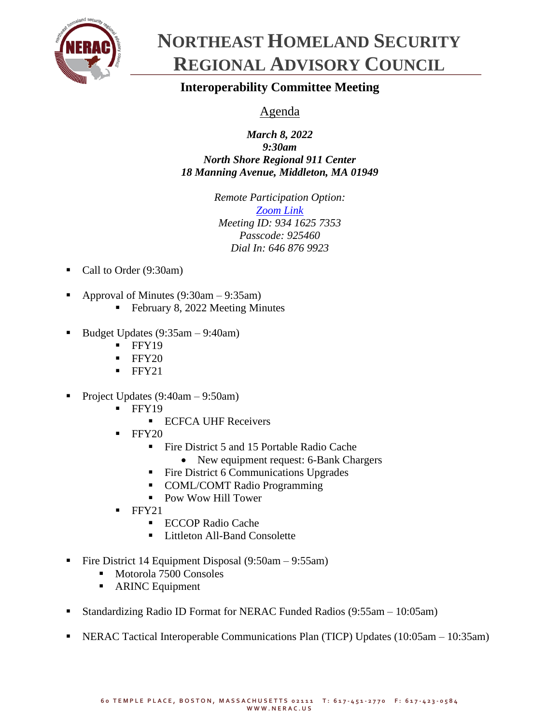

## **NORTHEAST HOMELAND SECURITY REGIONAL ADVISORY COUNCIL**

## **Interoperability Committee Meeting**

## Agenda

*March 8, 2022 9:30am North Shore Regional 911 Center 18 Manning Avenue, Middleton, MA 01949*

> *Remote Participation Option: [Zoom Link](https://zoom.us/j/93416257353?pwd=cTIzRzc2dGJndFppYzVid0Evc2ljdz09) Meeting ID: 934 1625 7353 Passcode: 925460 Dial In: 646 876 9923*

- Call to Order (9:30am)
- Approval of Minutes  $(9:30am 9:35am)$ 
	- February 8, 2022 Meeting Minutes
- Budget Updates  $(9:35am 9:40am)$ 
	- $\blacksquare$  FFY19
	- $\blacksquare$  FFY20
	- FFY21
- Project Updates  $(9:40am 9:50am)$ 
	- $\blacksquare$  FFY19
		- ECFCA UHF Receivers
	- **FFY20** 
		- Fire District 5 and 15 Portable Radio Cache
			- New equipment request: 6-Bank Chargers
		- Fire District 6 Communications Upgrades
		- COML/COMT Radio Programming
		- Pow Wow Hill Tower
	- $FFY21$ 
		- ECCOP Radio Cache
		- Littleton All-Band Consolette
- Fire District 14 Equipment Disposal (9:50am 9:55am)
	- Motorola 7500 Consoles
	- ARINC Equipment
- Standardizing Radio ID Format for NERAC Funded Radios (9:55am 10:05am)
- NERAC Tactical Interoperable Communications Plan (TICP) Updates (10:05am 10:35am)